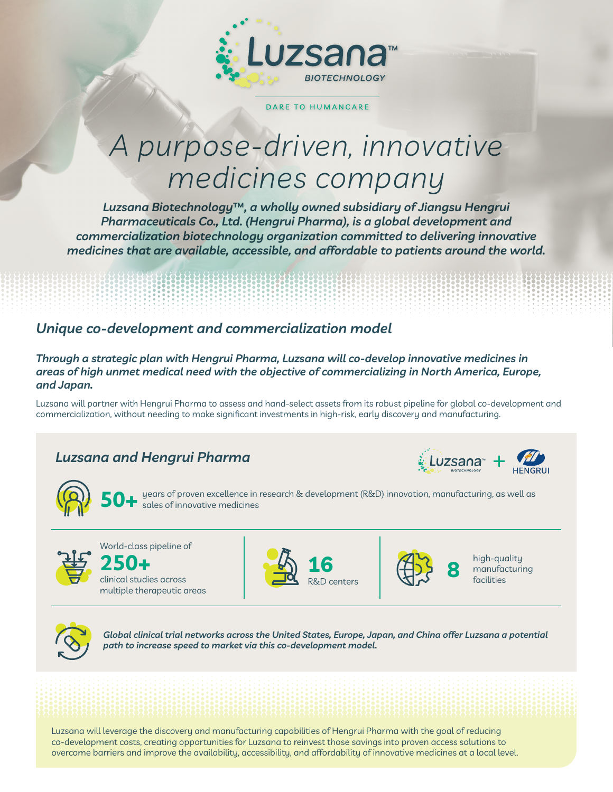

#### DARE TO HUMANCARE

# *A purpose-driven, innovative medicines company*

*Luzsana Biotechnology***™***, a wholly owned subsidiary of Jiangsu Hengrui Pharmaceuticals Co., Ltd. (Hengrui Pharma), is a global development and commercialization biotechnology organization committed to delivering innovative medicines that are available, accessible, and affordable to patients around the world.*

#### *Unique co-development and commercialization model*

-8888888888888888

*Through a strategic plan with Hengrui Pharma, Luzsana will co-develop innovative medicines in areas of high unmet medical need with the objective of commercializing in North America, Europe, and Japan.*

Luzsana will partner with Hengrui Pharma to assess and hand-select assets from its robust pipeline for global co-development and commercialization, without needing to make significant investments in high-risk, early discovery and manufacturing.

### *Luzsana and Hengrui Pharma*





years of proven excellence in research & development (R&D) innovation, manufacturing, as well as **50+** sales of innovative medicines



World-class pipeline of

clinical studies across multiple therapeutic areas **250+**





**16** high-quality manufacturing



*Global clinical trial networks across the United States, Europe, Japan, and China offer Luzsana a potential path to increase speed to market via this co-development model.*

Luzsana will leverage the discovery and manufacturing capabilities of Hengrui Pharma with the goal of reducing co-development costs, creating opportunities for Luzsana to reinvest those savings into proven access solutions to overcome barriers and improve the availability, accessibility, and affordability of innovative medicines at a local level.